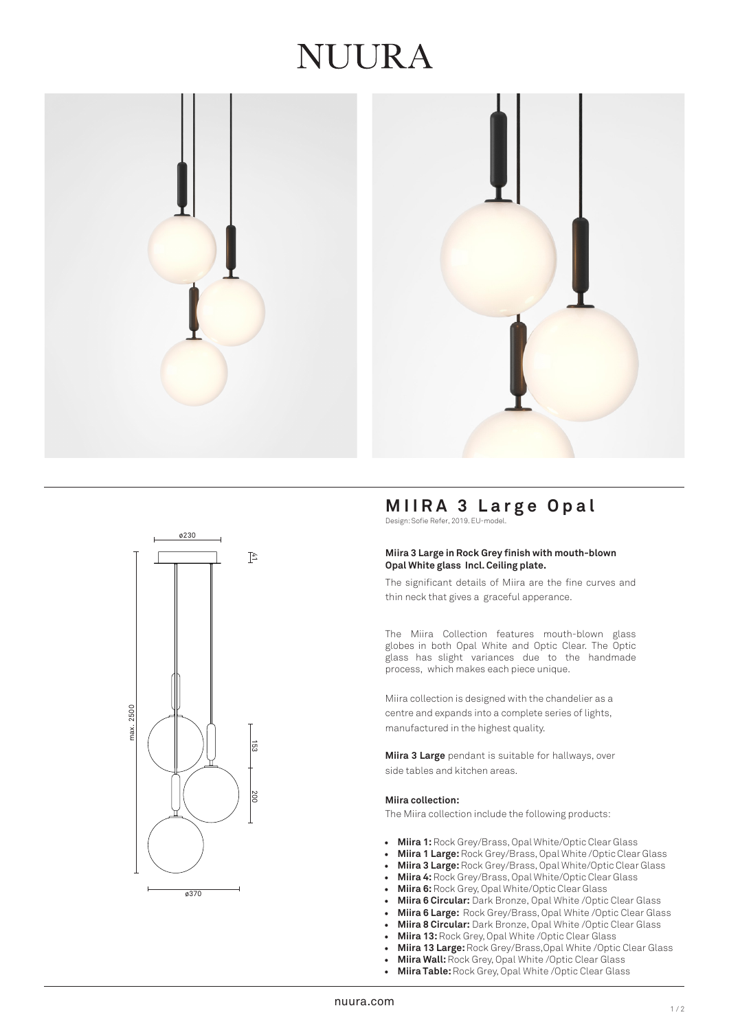## IUURA







## **MIIRA 3 Large Opal**

Design: Sofie Refer, 2019. EU-model.

#### **Miira 3 Large in Rock Grey finish with mouth-blown Opal White glass Incl. Ceiling plate.**

The significant details of Miira are the fine curves and thin neck that gives a graceful apperance.

The Miira Collection features mouth-blown glass globes in both Opal White and Optic Clear. The Optic glass has slight variances due to the handmade process, which makes each piece unique.

Miira collection is designed with the chandelier as a centre and expands into a complete series of lights, manufactured in the highest quality.

**Miira 3 Large** pendant is suitable for hallways, over side tables and kitchen areas.

#### **Miira collection:**

The Miira collection include the following products:

- **Miira 1:** Rock Grey/Brass, Opal White/Optic Clear Glass
- **Miira 1 Large:** Rock Grey/Brass, Opal White /Optic Clear Glass
- **Miira 3 Large:**Rock Grey/Brass, Opal White/Optic Clear Glass
- **Miira 4:** Rock Grey/Brass, Opal White/Optic Clear Glass
- **Miira 6:**Rock Grey, Opal White/Optic Clear Glass
- **Miira 6 Circular:** Dark Bronze, Opal White /Optic Clear Glass
- **Miira 6 Large:** Rock Grey/Brass, Opal White /Optic Clear Glass
- **Miira 8 Circular:** Dark Bronze, Opal White /Optic Clear Glass
- **Miira 13:** Rock Grey, Opal White /Optic Clear Glass
- **Miira 13 Large:** Rock Grey/Brass,Opal White /Optic Clear Glass
- **Miira Wall:**Rock Grey, Opal White /Optic Clear Glass
- **Miira Table:** Rock Grey, Opal White /Optic Clear Glass